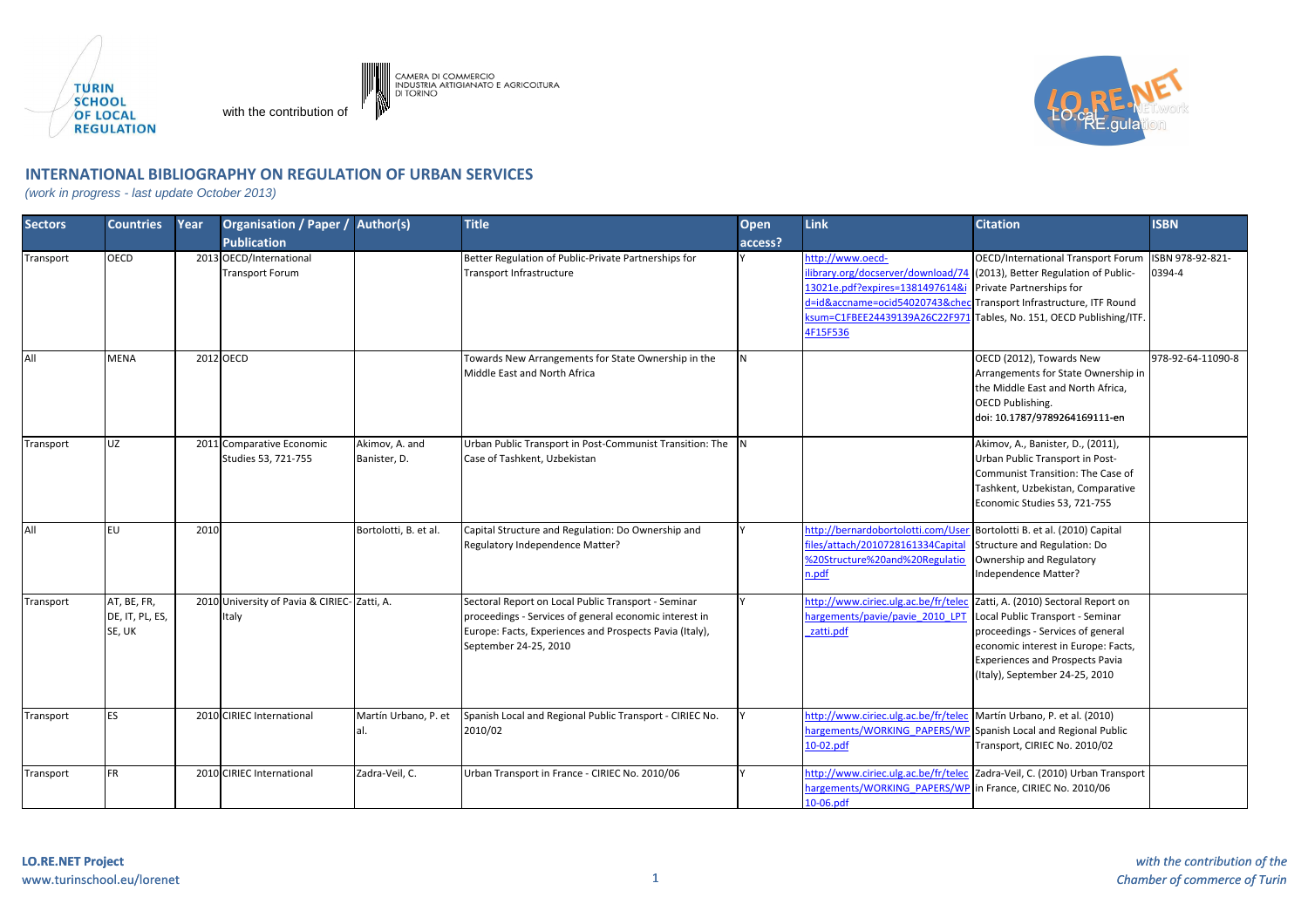

with the contribution of



## **INTERNATIONAL BIBLIOGRAPHY ON REGULATION OF URBAN SERVICES**

(work in progress - last update October 2013)

| <b>Sectors</b> | <b>Countries</b>                         | Year | <b>Organisation / Paper /</b>                         | <b>Author(s)</b>               | <b>Title</b>                                                                                                                                                                                      | Open     | Link                                                                                                                                                                                                      | <b>Citation</b>                                                                                                                                                                                                                 | <b>ISBN</b>                |
|----------------|------------------------------------------|------|-------------------------------------------------------|--------------------------------|---------------------------------------------------------------------------------------------------------------------------------------------------------------------------------------------------|----------|-----------------------------------------------------------------------------------------------------------------------------------------------------------------------------------------------------------|---------------------------------------------------------------------------------------------------------------------------------------------------------------------------------------------------------------------------------|----------------------------|
|                |                                          |      | <b>Publication</b>                                    |                                |                                                                                                                                                                                                   | access?  |                                                                                                                                                                                                           |                                                                                                                                                                                                                                 |                            |
| Transport      | <b>OECD</b>                              |      | 2013 OECD/International<br><b>Transport Forum</b>     |                                | Better Regulation of Public-Private Partnerships for<br>Transport Infrastructure                                                                                                                  |          | http://www.oecd-<br>library.org/docserver/download/74<br>13021e.pdf?expires=1381497614&i<br>d=id&accname=ocid54020743&ched<br><sum=c1fbee24439139a26c22f971<br>4F15F536</sum=c1fbee24439139a26c22f971<br> | OECD/International Transport Forum<br>(2013), Better Regulation of Public-<br>Private Partnerships for<br>Transport Infrastructure, ITF Round<br>Tables, No. 151, OECD Publishing/ITF.                                          | ISBN 978-92-821-<br>0394-4 |
| All            | <b>MENA</b>                              |      | 2012 OECD                                             |                                | Towards New Arrangements for State Ownership in the<br>Middle East and North Africa                                                                                                               | <b>N</b> |                                                                                                                                                                                                           | OECD (2012), Towards New<br>Arrangements for State Ownership in<br>the Middle East and North Africa.<br>OECD Publishing.<br>doi: 10.1787/9789264169111-en                                                                       | 978-92-64-11090-8          |
| Transport      | UZ                                       |      | 2011 Comparative Economic<br>Studies 53, 721-755      | Akimov, A. and<br>Banister, D. | Urban Public Transport in Post-Communist Transition: The N<br>Case of Tashkent, Uzbekistan                                                                                                        |          |                                                                                                                                                                                                           | Akimov, A., Banister, D., (2011),<br>Urban Public Transport in Post-<br>Communist Transition: The Case of<br>Tashkent, Uzbekistan, Comparative<br>Economic Studies 53, 721-755                                                  |                            |
| All            | <b>EU</b>                                | 2010 |                                                       | Bortolotti, B. et al.          | Capital Structure and Regulation: Do Ownership and<br>Regulatory Independence Matter?                                                                                                             |          | http://bernardobortolotti.com/User<br>files/attach/2010728161334 Capital<br>%20Structure%20and%20Regulatio<br>n.pdf                                                                                       | Bortolotti B. et al. (2010) Capital<br>Structure and Regulation: Do<br>Ownership and Regulatory<br>Independence Matter?                                                                                                         |                            |
| Transport      | AT, BE, FR,<br>DE, IT, PL, ES,<br>SE, UK |      | 2010 University of Pavia & CIRIEC- Zatti, A.<br>Italy |                                | Sectoral Report on Local Public Transport - Seminar<br>proceedings - Services of general economic interest in<br>Europe: Facts, Experiences and Prospects Pavia (Italy),<br>September 24-25, 2010 |          | http://www.ciriec.ulg.ac.be/fr/telec<br>hargements/pavie/pavie 2010 LPT<br>zatti.pdf                                                                                                                      | Zatti, A. (2010) Sectoral Report on<br>Local Public Transport - Seminar<br>proceedings - Services of general<br>economic interest in Europe: Facts,<br><b>Experiences and Prospects Pavia</b><br>(Italy), September 24-25, 2010 |                            |
| Transport      | <b>ES</b>                                |      | 2010 CIRIEC International                             | Martín Urbano, P. et<br>al.    | Spanish Local and Regional Public Transport - CIRIEC No.<br>2010/02                                                                                                                               |          | http://www.ciriec.ulg.ac.be/fr/telec Martín Urbano, P. et al. (2010)<br>hargements/WORKING PAPERS/WP<br>10-02.pdf                                                                                         | Spanish Local and Regional Public<br>Transport, CIRIEC No. 2010/02                                                                                                                                                              |                            |
| Transport      | <b>FR</b>                                |      | 2010 CIRIEC International                             | Zadra-Veil, C.                 | Urban Transport in France - CIRIEC No. 2010/06                                                                                                                                                    |          | http://www.ciriec.ulg.ac.be/fr/telec<br>hargements/WORKING PAPERS/WP<br>$10-06.pdf$                                                                                                                       | Zadra-Veil, C. (2010) Urban Transport<br>in France, CIRIEC No. 2010/06                                                                                                                                                          |                            |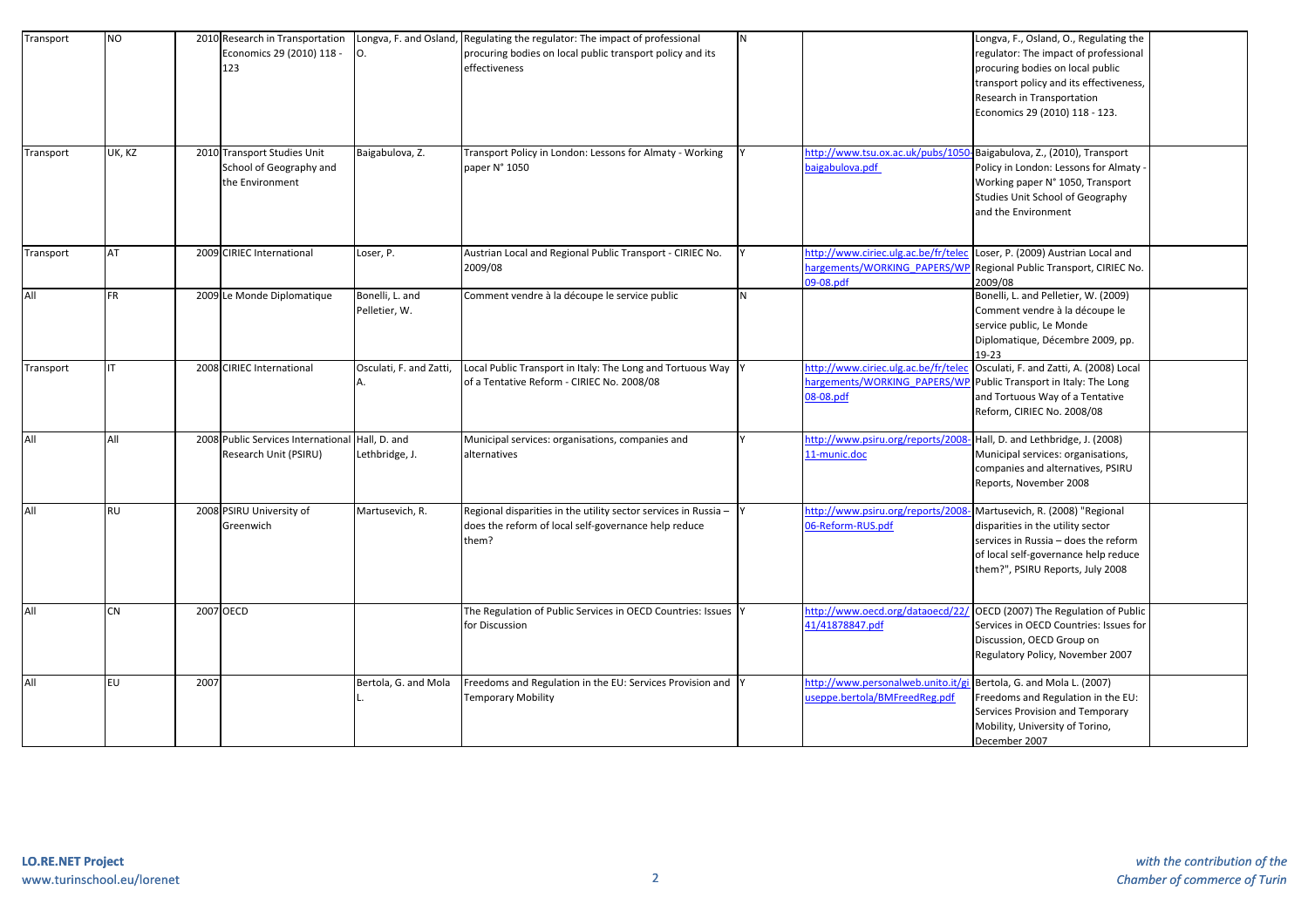| Transport | <b>NO</b> |           | 2010 Research in Transportation<br>Economics 29 (2010) 118 -<br>123       | О.                               | Longva, F. and Osland, Regulating the regulator: The impact of professional<br>procuring bodies on local public transport policy and its<br>effectiveness | N |                                                                                  | Longva, F., Osland, O., Regulating the<br>regulator: The impact of professional<br>procuring bodies on local public<br>transport policy and its effectiveness,<br>Research in Transportation<br>Economics 29 (2010) 118 - 123. |
|-----------|-----------|-----------|---------------------------------------------------------------------------|----------------------------------|-----------------------------------------------------------------------------------------------------------------------------------------------------------|---|----------------------------------------------------------------------------------|--------------------------------------------------------------------------------------------------------------------------------------------------------------------------------------------------------------------------------|
| Transport | UK, KZ    |           | 2010 Transport Studies Unit<br>School of Geography and<br>the Environment | Baigabulova, Z.                  | Transport Policy in London: Lessons for Almaty - Working<br>paper N° 1050                                                                                 |   | http://www.tsu.ox.ac.uk/pubs/105<br>baigabulova.pdf                              | Baigabulova, Z., (2010), Transport<br>Policy in London: Lessons for Almaty<br>Working paper N° 1050, Transport<br>Studies Unit School of Geography<br>and the Environment                                                      |
| Transport | AT        |           | 2009 CIRIEC International                                                 | Loser, P.                        | Austrian Local and Regional Public Transport - CIRIEC No.<br>2009/08                                                                                      |   | http://www.ciriec.ulg.ac.be/fr/tele<br>nargements/WORKING PAPERS/WI<br>09-08.pdf | Loser, P. (2009) Austrian Local and<br>Regional Public Transport, CIRIEC No.<br>2009/08                                                                                                                                        |
| All       | <b>FR</b> |           | 2009 Le Monde Diplomatique                                                | Bonelli, L. and<br>Pelletier, W. | Comment vendre à la découpe le service public                                                                                                             | N |                                                                                  | Bonelli, L. and Pelletier, W. (2009)<br>Comment vendre à la découpe le<br>service public, Le Monde<br>Diplomatique, Décembre 2009, pp.<br>$19-23$                                                                              |
| Transport | IT        |           | 2008 CIRIEC International                                                 | Osculati, F. and Zatti,<br>А.    | Local Public Transport in Italy: The Long and Tortuous Way  Y<br>of a Tentative Reform - CIRIEC No. 2008/08                                               |   | http://www.ciriec.ulg.ac.be/fr/tele<br>nargements/WORKING PAPERS/WI<br>08-08.pdf | Osculati, F. and Zatti, A. (2008) Local<br>Public Transport in Italy: The Long<br>and Tortuous Way of a Tentative<br>Reform, CIRIEC No. 2008/08                                                                                |
| All       | All       |           | 2008 Public Services International<br>Research Unit (PSIRU)               | Hall, D. and<br>Lethbridge, J.   | Municipal services: organisations, companies and<br>alternatives                                                                                          |   | http://www.psiru.org/reports/200<br>11-munic.doc                                 | Hall, D. and Lethbridge, J. (2008)<br>Municipal services: organisations,<br>companies and alternatives, PSIRU<br>Reports, November 2008                                                                                        |
| All       | <b>RU</b> |           | 2008 PSIRU University of<br>Greenwich                                     | Martusevich, R.                  | Regional disparities in the utility sector services in Russia -<br>does the reform of local self-governance help reduce<br>them?                          |   | http://www.psiru.org/reports/2008<br>06-Reform-RUS.pdf                           | Martusevich, R. (2008) "Regional<br>disparities in the utility sector<br>services in Russia - does the reform<br>of local self-governance help reduce<br>them?", PSIRU Reports, July 2008                                      |
| All       | <b>CN</b> | 2007 OECD |                                                                           |                                  | The Regulation of Public Services in OECD Countries: Issues Y<br>for Discussion                                                                           |   | http://www.oecd.org/dataoecd/22<br>41/41878847.pdf                               | OECD (2007) The Regulation of Public<br>Services in OECD Countries: Issues for<br>Discussion, OECD Group on<br>Regulatory Policy, November 2007                                                                                |
| All       | <b>EU</b> | 2007      |                                                                           | Bertola, G. and Mola             | Freedoms and Regulation in the EU: Services Provision and Y<br><b>Temporary Mobility</b>                                                                  |   | http://www.personalweb.unito.it/g<br>useppe.bertola/BMFreedReg.pdf               | Bertola, G. and Mola L. (2007)<br>Freedoms and Regulation in the EU:<br>Services Provision and Temporary<br>Mobility, University of Torino,<br>December 2007                                                                   |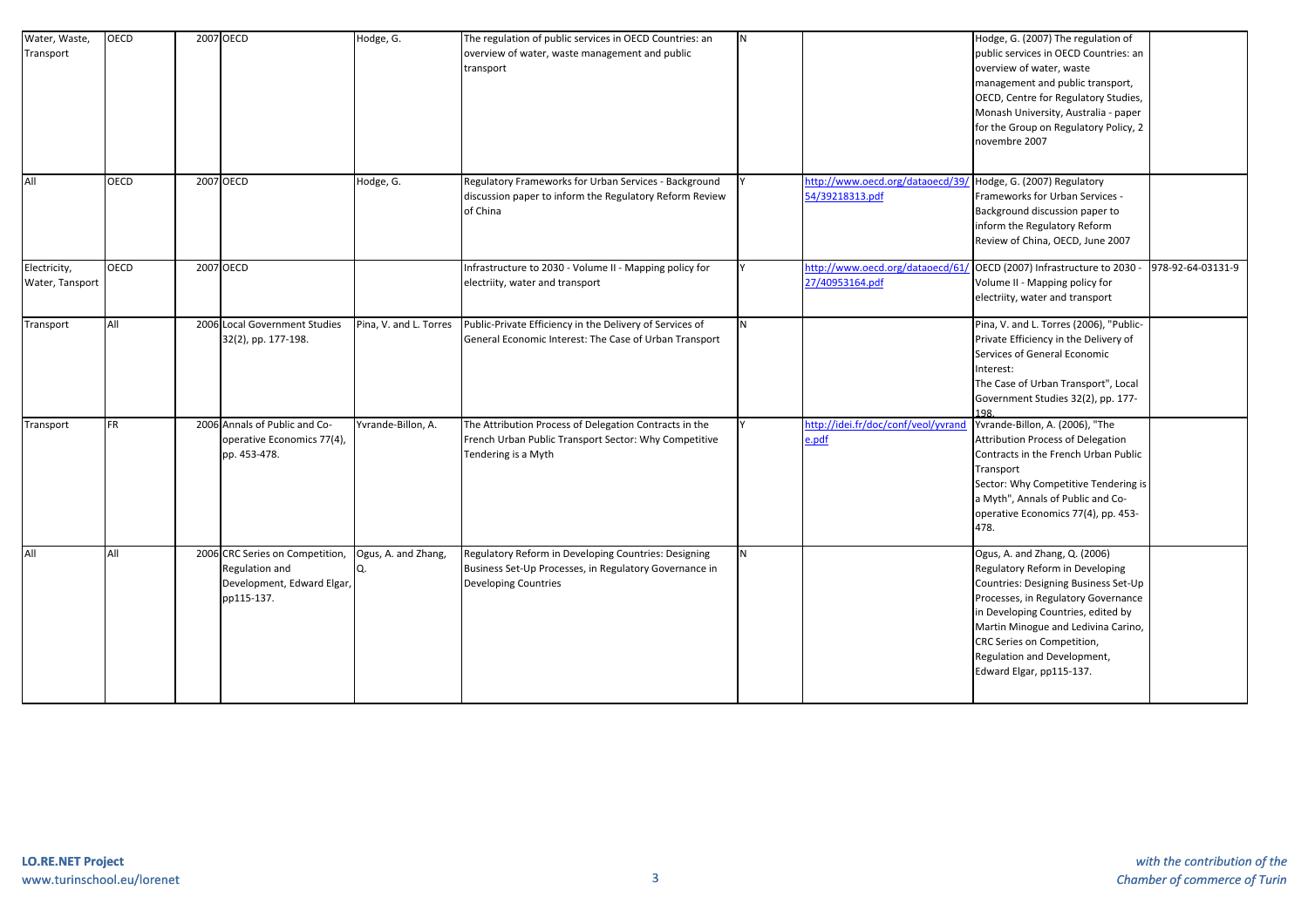| Water, Waste,<br>Transport      | OECD        | 2007 OECD                                                                                     | Hodge, G.                 | The regulation of public services in OECD Countries: an<br>overview of water, waste management and public<br>transport                        | <b>N</b> |                                                    | Hodge, G. (2007) The regulation of<br>public services in OECD Countries: an<br>overview of water, waste<br>management and public transport,<br>OECD, Centre for Regulatory Studies,<br>Monash University, Australia - paper<br>for the Group on Regulatory Policy, 2<br>novembre 2007                                 |                   |
|---------------------------------|-------------|-----------------------------------------------------------------------------------------------|---------------------------|-----------------------------------------------------------------------------------------------------------------------------------------------|----------|----------------------------------------------------|-----------------------------------------------------------------------------------------------------------------------------------------------------------------------------------------------------------------------------------------------------------------------------------------------------------------------|-------------------|
| All                             | OECD        | 2007 OECD                                                                                     | Hodge, G.                 | Regulatory Frameworks for Urban Services - Background<br>discussion paper to inform the Regulatory Reform Review<br>of China                  |          | http://www.oecd.org/dataoecd/39<br>54/39218313.pdf | Hodge, G. (2007) Regulatory<br>Frameworks for Urban Services -<br>Background discussion paper to<br>inform the Regulatory Reform<br>Review of China, OECD, June 2007                                                                                                                                                  |                   |
| Electricity,<br>Water, Tansport | <b>OECD</b> | 2007 OECD                                                                                     |                           | Infrastructure to 2030 - Volume II - Mapping policy for<br>electriity, water and transport                                                    |          | http://www.oecd.org/dataoecd/61<br>27/40953164.pdf | OECD (2007) Infrastructure to 2030 -<br>Volume II - Mapping policy for<br>electriity, water and transport                                                                                                                                                                                                             | 978-92-64-03131-9 |
| Transport                       | All         | 2006 Local Government Studies<br>32(2), pp. 177-198.                                          | Pina, V. and L. Torres    | Public-Private Efficiency in the Delivery of Services of<br>General Economic Interest: The Case of Urban Transport                            | N        |                                                    | Pina, V. and L. Torres (2006), "Public-<br>Private Efficiency in the Delivery of<br>Services of General Economic<br>Interest:<br>The Case of Urban Transport", Local<br>Government Studies 32(2), pp. 177-                                                                                                            |                   |
| Transport                       | FR.         | 2006 Annals of Public and Co-<br>operative Economics 77(4),<br>pp. 453-478.                   | Yvrande-Billon, A.        | The Attribution Process of Delegation Contracts in the<br>French Urban Public Transport Sector: Why Competitive<br>Tendering is a Myth        |          | http://idei.fr/doc/conf/veol/yvrand<br>e.pdf       | Yvrande-Billon, A. (2006), "The<br>Attribution Process of Delegation<br>Contracts in the French Urban Public<br>Transport<br>Sector: Why Competitive Tendering is<br>a Myth", Annals of Public and Co-<br>operative Economics 77(4), pp. 453-<br>478.                                                                 |                   |
| All                             | All         | 2006 CRC Series on Competition,<br>Regulation and<br>Development, Edward Elgar,<br>pp115-137. | Ogus, A. and Zhang,<br>O. | Regulatory Reform in Developing Countries: Designing<br>Business Set-Up Processes, in Regulatory Governance in<br><b>Developing Countries</b> | <b>N</b> |                                                    | Ogus, A. and Zhang, Q. (2006)<br>Regulatory Reform in Developing<br>Countries: Designing Business Set-Up<br>Processes, in Regulatory Governance<br>in Developing Countries, edited by<br>Martin Minogue and Ledivina Carino,<br>CRC Series on Competition,<br>Regulation and Development,<br>Edward Elgar, pp115-137. |                   |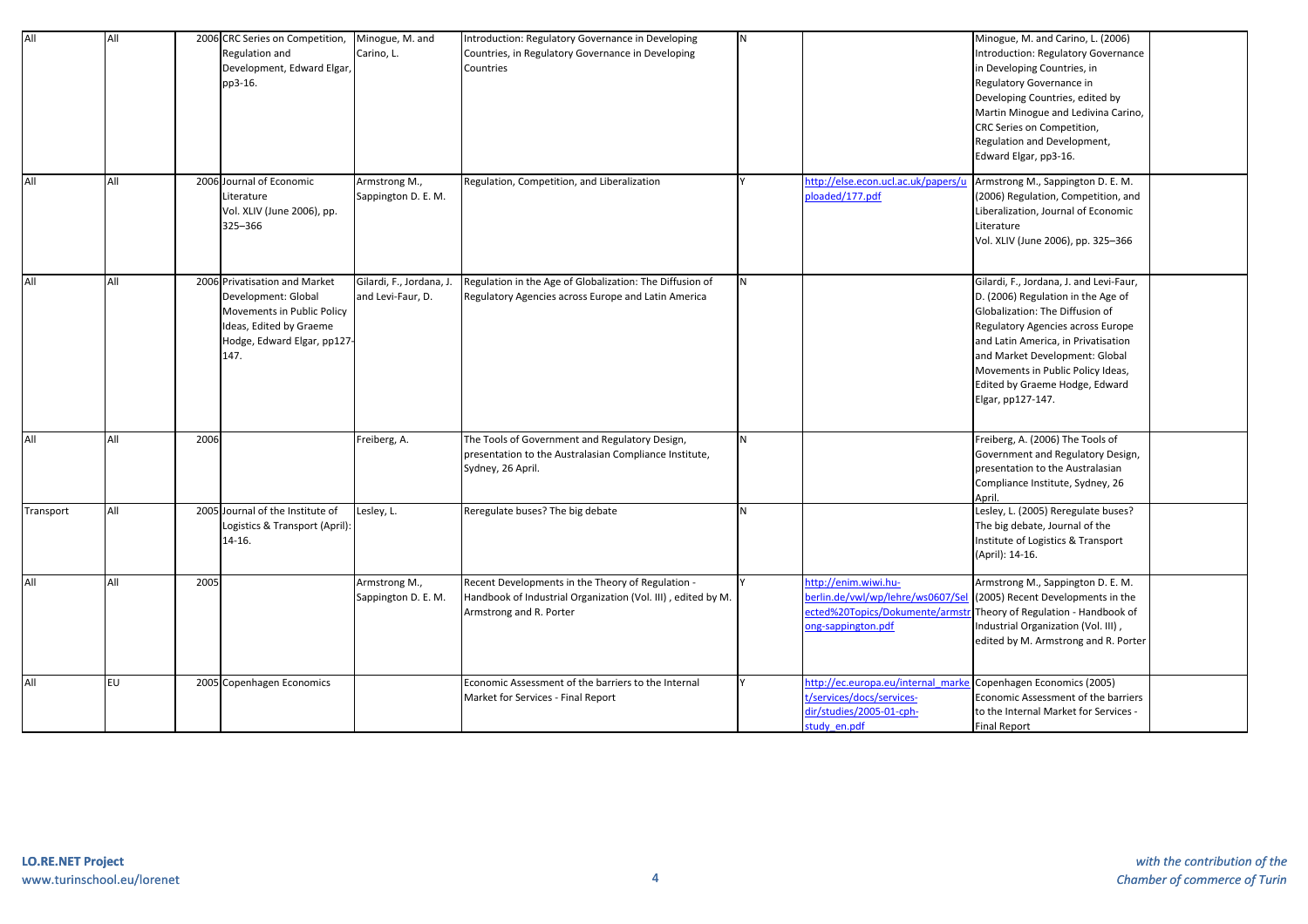| All       | All |      | 2006 CRC Series on Competition,<br>Regulation and<br>Development, Edward Elgar,<br>pp3-16.                                                           | Minogue, M. and<br>Carino, L.                 | Introduction: Regulatory Governance in Developing<br>Countries, in Regulatory Governance in Developing<br>Countries                          | N |                                                                                                                 | Minogue, M. and Carino, L. (2006)<br>Introduction: Regulatory Governance<br>in Developing Countries, in<br>Regulatory Governance in<br>Developing Countries, edited by<br>Martin Minogue and Ledivina Carino,<br>CRC Series on Competition,<br>Regulation and Development,<br>Edward Elgar, pp3-16.                        |
|-----------|-----|------|------------------------------------------------------------------------------------------------------------------------------------------------------|-----------------------------------------------|----------------------------------------------------------------------------------------------------------------------------------------------|---|-----------------------------------------------------------------------------------------------------------------|----------------------------------------------------------------------------------------------------------------------------------------------------------------------------------------------------------------------------------------------------------------------------------------------------------------------------|
| All       | All |      | 2006 Journal of Economic<br>Literature<br>Vol. XLIV (June 2006), pp.<br>325-366                                                                      | Armstrong M.,<br>Sappington D. E. M.          | Regulation, Competition, and Liberalization                                                                                                  |   | http://else.econ.ucl.ac.uk/papers/u<br>ploaded/177.pdf                                                          | Armstrong M., Sappington D. E. M.<br>(2006) Regulation, Competition, and<br>Liberalization, Journal of Economic<br>Literature<br>Vol. XLIV (June 2006), pp. 325-366                                                                                                                                                        |
| All       | All |      | 2006 Privatisation and Market<br>Development: Global<br>Movements in Public Policy<br>Ideas, Edited by Graeme<br>Hodge, Edward Elgar, pp127-<br>147. | Gilardi, F., Jordana, J.<br>and Levi-Faur, D. | Regulation in the Age of Globalization: The Diffusion of<br>Regulatory Agencies across Europe and Latin America                              | N |                                                                                                                 | Gilardi, F., Jordana, J. and Levi-Faur,<br>D. (2006) Regulation in the Age of<br>Globalization: The Diffusion of<br>Regulatory Agencies across Europe<br>and Latin America, in Privatisation<br>and Market Development: Global<br>Movements in Public Policy Ideas,<br>Edited by Graeme Hodge, Edward<br>Elgar, pp127-147. |
| All       | All | 2006 |                                                                                                                                                      | Freiberg, A.                                  | The Tools of Government and Regulatory Design,<br>presentation to the Australasian Compliance Institute,<br>Sydney, 26 April.                | N |                                                                                                                 | Freiberg, A. (2006) The Tools of<br>Government and Regulatory Design,<br>presentation to the Australasian<br>Compliance Institute, Sydney, 26<br>Anril.                                                                                                                                                                    |
| Transport | All |      | 2005 Journal of the Institute of<br>Logistics & Transport (April):<br>14-16.                                                                         | Lesley, L.                                    | Reregulate buses? The big debate                                                                                                             | N |                                                                                                                 | Lesley, L. (2005) Reregulate buses?<br>The big debate, Journal of the<br>Institute of Logistics & Transport<br>(April): 14-16.                                                                                                                                                                                             |
| All       | All | 2005 |                                                                                                                                                      | Armstrong M.,<br>Sappington D. E. M.          | Recent Developments in the Theory of Regulation -<br>Handbook of Industrial Organization (Vol. III), edited by M.<br>Armstrong and R. Porter |   | http://enim.wiwi.hu-<br>perlin.de/vwl/wp/lehre/ws0607/Se<br>ected%20Topics/Dokumente/arms<br>ong-sappington.pdf | Armstrong M., Sappington D. E. M.<br>(2005) Recent Developments in the<br>Theory of Regulation - Handbook of<br>Industrial Organization (Vol. III),<br>edited by M. Armstrong and R. Porter                                                                                                                                |
| All       | EU  |      | 2005 Copenhagen Economics                                                                                                                            |                                               | Economic Assessment of the barriers to the Internal<br>Market for Services - Final Report                                                    |   | http://ec.europa.eu/internal mark<br>t/services/docs/services-<br>dir/studies/2005-01-cph-<br>study en.pdf      | Copenhagen Economics (2005)<br>Economic Assessment of the barriers<br>to the Internal Market for Services -<br><b>Final Report</b>                                                                                                                                                                                         |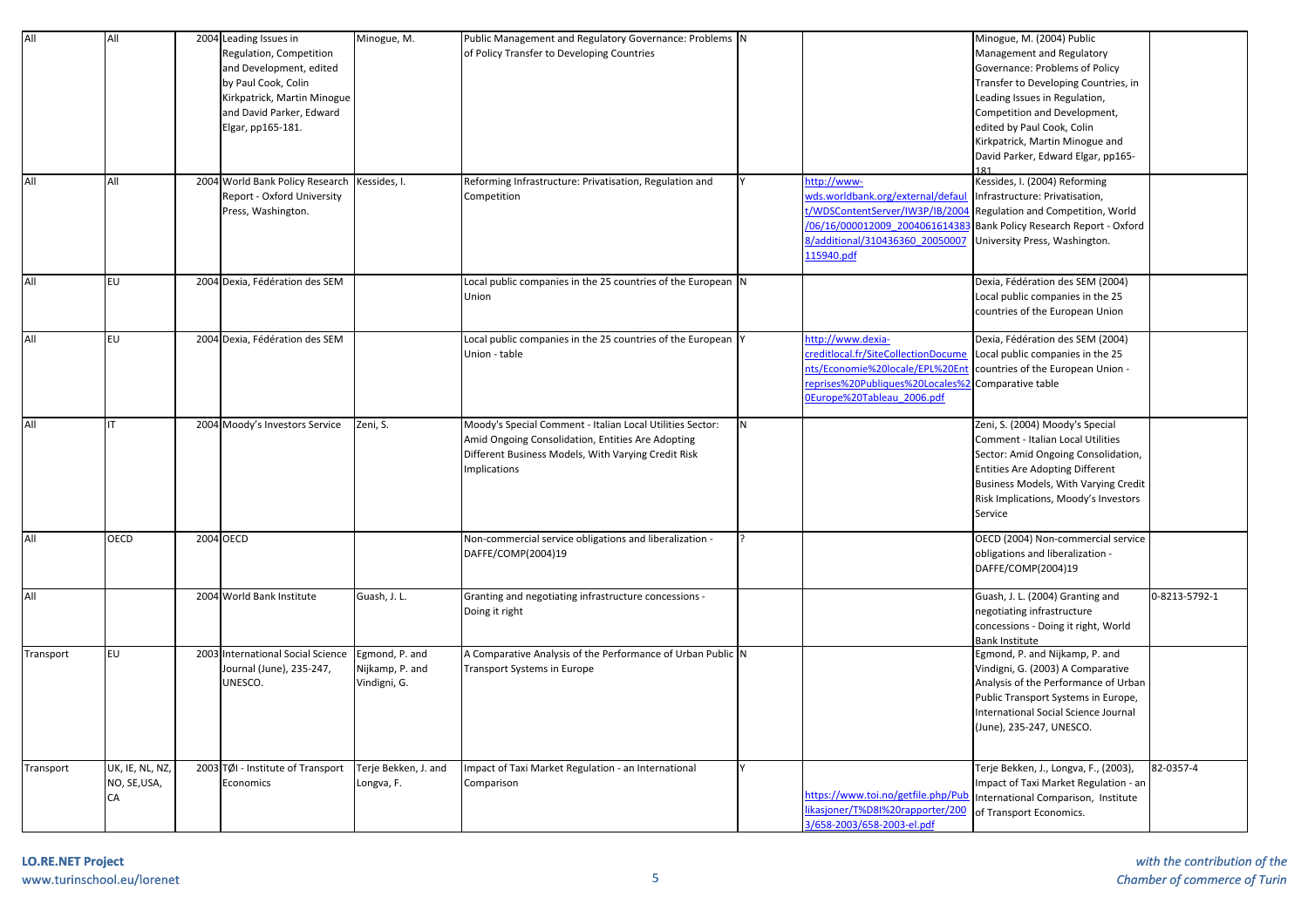| All       | All             |           | 2004 Leading Issues in            | Minogue, M.          | Public Management and Regulatory Governance: Problems N      |   |                                    | Minogue, M. (2004) Public              |               |
|-----------|-----------------|-----------|-----------------------------------|----------------------|--------------------------------------------------------------|---|------------------------------------|----------------------------------------|---------------|
|           |                 |           | Regulation, Competition           |                      | of Policy Transfer to Developing Countries                   |   |                                    | Management and Regulatory              |               |
|           |                 |           | and Development, edited           |                      |                                                              |   |                                    | Governance: Problems of Policy         |               |
|           |                 |           | by Paul Cook, Colin               |                      |                                                              |   |                                    | Transfer to Developing Countries, in   |               |
|           |                 |           | Kirkpatrick, Martin Minogue       |                      |                                                              |   |                                    | Leading Issues in Regulation,          |               |
|           |                 |           | and David Parker, Edward          |                      |                                                              |   |                                    | Competition and Development,           |               |
|           |                 |           | Elgar, pp165-181.                 |                      |                                                              |   |                                    | edited by Paul Cook, Colin             |               |
|           |                 |           |                                   |                      |                                                              |   |                                    | Kirkpatrick, Martin Minogue and        |               |
|           |                 |           |                                   |                      |                                                              |   |                                    |                                        |               |
|           |                 |           |                                   |                      |                                                              |   |                                    | David Parker, Edward Elgar, pp165-     |               |
| All       | All             |           | 2004 World Bank Policy Research   | Kessides, I.         | Reforming Infrastructure: Privatisation, Regulation and      |   | http://www-                        | Kessides, I. (2004) Reforming          |               |
|           |                 |           | Report - Oxford University        |                      | Competition                                                  |   | vds.worldbank.org/external/defau   | Infrastructure: Privatisation,         |               |
|           |                 |           | Press, Washington.                |                      |                                                              |   | /WDSContentServer/IW3P/IB/200      | Regulation and Competition, World      |               |
|           |                 |           |                                   |                      |                                                              |   | 06/16/000012009 200406161438       | Bank Policy Research Report - Oxford   |               |
|           |                 |           |                                   |                      |                                                              |   |                                    |                                        |               |
|           |                 |           |                                   |                      |                                                              |   | 3/additional/310436360 20050007    | University Press, Washington.          |               |
|           |                 |           |                                   |                      |                                                              |   | 15940.pdf                          |                                        |               |
| All       | <b>EU</b>       |           | 2004 Dexia, Fédération des SEM    |                      | Local public companies in the 25 countries of the European N |   |                                    | Dexia, Fédération des SEM (2004)       |               |
|           |                 |           |                                   |                      | Union                                                        |   |                                    | Local public companies in the 25       |               |
|           |                 |           |                                   |                      |                                                              |   |                                    | countries of the European Union        |               |
|           |                 |           |                                   |                      |                                                              |   |                                    |                                        |               |
| All       | EU              |           | 2004 Dexia, Fédération des SEM    |                      | Local public companies in the 25 countries of the European Y |   | http://www.dexia-                  | Dexia, Fédération des SEM (2004)       |               |
|           |                 |           |                                   |                      | Union - table                                                |   | reditlocal.fr/SiteCollectionDocume | Local public companies in the 25       |               |
|           |                 |           |                                   |                      |                                                              |   | hts/Economie%20locale/EPL%20Er     | countries of the European Union -      |               |
|           |                 |           |                                   |                      |                                                              |   | eprises%20Publiques%20Locales%     |                                        |               |
|           |                 |           |                                   |                      |                                                              |   |                                    | Comparative table                      |               |
|           |                 |           |                                   |                      |                                                              |   | DEurope%20Tableau 2006.pdf         |                                        |               |
| All       | IT              |           | 2004 Moody's Investors Service    | Zeni, S.             | Moody's Special Comment - Italian Local Utilities Sector:    | N |                                    | Zeni, S. (2004) Moody's Special        |               |
|           |                 |           |                                   |                      | Amid Ongoing Consolidation, Entities Are Adopting            |   |                                    | Comment - Italian Local Utilities      |               |
|           |                 |           |                                   |                      |                                                              |   |                                    |                                        |               |
|           |                 |           |                                   |                      | Different Business Models, With Varying Credit Risk          |   |                                    | Sector: Amid Ongoing Consolidation,    |               |
|           |                 |           |                                   |                      | <b>Implications</b>                                          |   |                                    | <b>Entities Are Adopting Different</b> |               |
|           |                 |           |                                   |                      |                                                              |   |                                    | Business Models, With Varying Credit   |               |
|           |                 |           |                                   |                      |                                                              |   |                                    | Risk Implications, Moody's Investors   |               |
|           |                 |           |                                   |                      |                                                              |   |                                    | Service                                |               |
| All       | <b>OECD</b>     | 2004 OECD |                                   |                      | Non-commercial service obligations and liberalization -      |   |                                    | OECD (2004) Non-commercial service     |               |
|           |                 |           |                                   |                      | DAFFE/COMP(2004)19                                           |   |                                    | obligations and liberalization -       |               |
|           |                 |           |                                   |                      |                                                              |   |                                    | DAFFE/COMP(2004)19                     |               |
|           |                 |           |                                   |                      |                                                              |   |                                    |                                        |               |
| All       |                 |           | 2004 World Bank Institute         | Guash, J. L.         | Granting and negotiating infrastructure concessions -        |   |                                    | Guash, J. L. (2004) Granting and       | 0-8213-5792-1 |
|           |                 |           |                                   |                      | Doing it right                                               |   |                                    | negotiating infrastructure             |               |
|           |                 |           |                                   |                      |                                                              |   |                                    | concessions - Doing it right, World    |               |
|           |                 |           |                                   |                      |                                                              |   |                                    | <b>Bank Institute</b>                  |               |
| Transport | EU              |           | 2003 International Social Science | Egmond, P. and       | A Comparative Analysis of the Performance of Urban Public N  |   |                                    | Egmond, P. and Nijkamp, P. and         |               |
|           |                 |           | Journal (June), 235-247,          | Nijkamp, P. and      | <b>Transport Systems in Europe</b>                           |   |                                    | Vindigni, G. (2003) A Comparative      |               |
|           |                 |           | UNESCO.                           |                      |                                                              |   |                                    |                                        |               |
|           |                 |           |                                   | Vindigni, G.         |                                                              |   |                                    | Analysis of the Performance of Urban   |               |
|           |                 |           |                                   |                      |                                                              |   |                                    | Public Transport Systems in Europe,    |               |
|           |                 |           |                                   |                      |                                                              |   |                                    | International Social Science Journal   |               |
|           |                 |           |                                   |                      |                                                              |   |                                    | (June), 235-247, UNESCO.               |               |
|           |                 |           |                                   |                      |                                                              |   |                                    |                                        |               |
|           |                 |           | 2003 TØI - Institute of Transport | Terje Bekken, J. and | Impact of Taxi Market Regulation - an International          |   |                                    | Terje Bekken, J., Longva, F., (2003),  | 82-0357-4     |
| Transport | UK, IE, NL, NZ, |           |                                   |                      |                                                              |   |                                    |                                        |               |
|           | NO, SE, USA,    |           | Economics                         | Longva, F.           | Comparison                                                   |   | https://www.toi.no/getfile.php/Pul | Impact of Taxi Market Regulation - an  |               |
|           | CA              |           |                                   |                      |                                                              |   | ikasjoner/T%D8I%20rapporter/200    | International Comparison, Institute    |               |
|           |                 |           |                                   |                      |                                                              |   | 3/658-2003/658-2003-el.pdf         | of Transport Economics.                |               |
|           |                 |           |                                   |                      |                                                              |   |                                    |                                        |               |